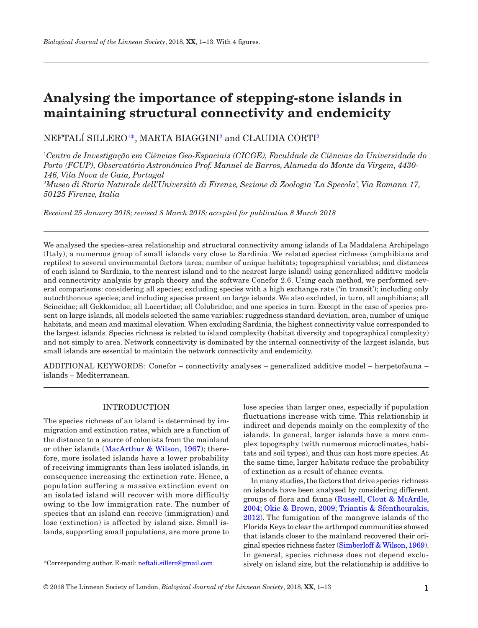# **Analysing the importance of stepping-stone islands in maintaining structural connectivity and endemicity**

NEFTALÍ SILLERO<sup>1</sup>[\\*](#page-0-0), MARTA BIAGGINI[2](#page-0-1) and CLAUDIA CORTI[2](#page-0-1)

<span id="page-0-1"></span><span id="page-0-0"></span><sup>1</sup>*Centro de Investigação em Ciências Geo-Espaciais (CICGE), Faculdade de Ciências da Universidade do Porto (FCUP), Observatório Astronómico Prof. Manuel de Barros, Alameda do Monte da Virgem, 4430- 146, Vila Nova de Gaia, Portugal* <sup>2</sup>*Museo di Storia Naturale dell'Università di Firenze, Sezione di Zoologia 'La Specola', Via Romana 17, 50125 Firenze, Italia*

*Received 25 January 2018; revised 8 March 2018; accepted for publication 8 March 2018*

We analysed the species–area relationship and structural connectivity among islands of La Maddalena Archipelago (Italy), a numerous group of small islands very close to Sardinia. We related species richness (amphibians and reptiles) to several environmental factors (area; number of unique habitats; topographical variables; and distances of each island to Sardinia, to the nearest island and to the nearest large island) using generalized additive models and connectivity analysis by graph theory and the software Conefor 2.6. Using each method, we performed several comparisons: considering all species; excluding species with a high exchange rate ('in transit'); including only autochthonous species; and including species present on large islands. We also excluded, in turn, all amphibians; all Scincidae; all Gekkonidae; all Lacertidae; all Colubridae; and one species in turn. Except in the case of species present on large islands, all models selected the same variables: ruggedness standard deviation, area, number of unique habitats, and mean and maximal elevation.When excluding Sardinia, the highest connectivity value corresponded to the largest islands. Species richness is related to island complexity (habitat diversity and topographical complexity) and not simply to area. Network connectivity is dominated by the internal connectivity of the largest islands, but small islands are essential to maintain the network connectivity and endemicity.

ADDITIONAL KEYWORDS: Conefor – connectivity analyses – generalized additive model – herpetofauna – islands – Mediterranean.

# INTRODUCTION

The species richness of an island is determined by immigration and extinction rates, which are a function of the distance to a source of colonists from the mainland or other islands ([MacArthur & Wilson, 1967](#page-11-0)); therefore, more isolated islands have a lower probability of receiving immigrants than less isolated islands, in consequence increasing the extinction rate. Hence, a population suffering a massive extinction event on an isolated island will recover with more difficulty owing to the low immigration rate. The number of species that an island can receive (immigration) and lose (extinction) is affected by island size. Small islands, supporting small populations, are more prone to

lose species than larger ones, especially if population fluctuations increase with time. This relationship is indirect and depends mainly on the complexity of the islands. In general, larger islands have a more complex topography (with numerous microclimates, habitats and soil types), and thus can host more species. At the same time, larger habitats reduce the probability of extinction as a result of chance events.

In many studies, the factors that drive species richness on islands have been analysed by considering different groups of flora and fauna [\(Russell, Clout & McArdle,](#page-11-1) [2004](#page-11-1); [Okie & Brown, 2009;](#page-11-2) [Triantis & Sfenthourakis,](#page-11-3) [2012](#page-11-3)). The fumigation of the mangrove islands of the Florida Keys to clear the arthropod communities showed that islands closer to the mainland recovered their original species richness faster ([Simberloff & Wilson, 1969](#page-11-4)). In general, species richness does not depend exclu- \*Corresponding author. E-mail: [neftali.sillero@gmail.com](mailto:neftali.sillero@gmail.com?subject=) sively on island size, but the relationship is additive to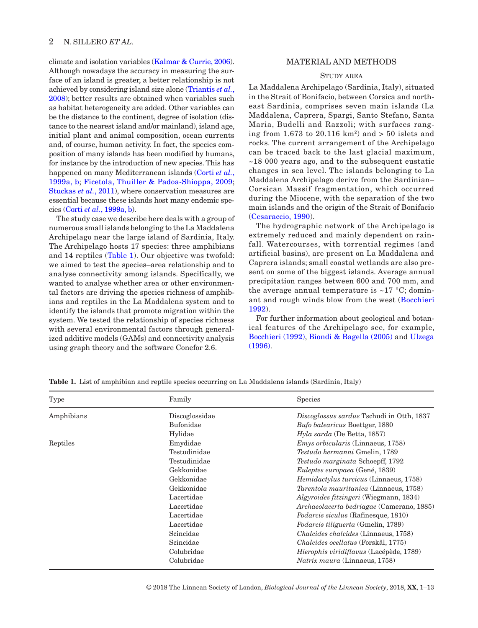climate and isolation variables [\(Kalmar & Currie, 2006\)](#page-11-5). Although nowadays the accuracy in measuring the surface of an island is greater, a better relationship is not achieved by considering island size alone [\(Triantis](#page-11-6) *et al.*, [2008](#page-11-6)); better results are obtained when variables such as habitat heterogeneity are added. Other variables can be the distance to the continent, degree of isolation (distance to the nearest island and/or mainland), island age, initial plant and animal composition, ocean currents and, of course, human activity. In fact, the species composition of many islands has been modified by humans, for instance by the introduction of new species. This has happened on many Mediterranean islands [\(Corti](#page-11-7) *et al.*, [1999a, b;](#page-11-7) Ficetola, [Thuiller & Padoa-Shioppa, 2009;](#page-11-8) [Stuckas](#page-11-9) *et al.*, 2011), where conservation measures are essential because these islands host many endemic species (Corti *et al.*[, 1999a, b\)](#page-11-7).

The study case we describe here deals with a group of numerous small islands belonging to the La Maddalena Archipelago near the large island of Sardinia, Italy. The Archipelago hosts 17 species: three amphibians and 14 reptiles ([Table 1\)](#page-1-0). Our objective was twofold: we aimed to test the species–area relationship and to analyse connectivity among islands. Specifically, we wanted to analyse whether area or other environmental factors are driving the species richness of amphibians and reptiles in the La Maddalena system and to identify the islands that promote migration within the system. We tested the relationship of species richness with several environmental factors through generalized additive models (GAMs) and connectivity analysis using graph theory and the software Conefor 2.6.

## MATERIAL AND METHODS

## STUDY AREA

La Maddalena Archipelago (Sardinia, Italy), situated in the Strait of Bonifacio, between Corsica and northeast Sardinia, comprises seven main islands (La Maddalena, Caprera, Spargi, Santo Stefano, Santa Maria, Budelli and Razzoli; with surfaces ranging from  $1.673$  to  $20.116 \text{ km}^2$ ) and  $> 50$  islets and rocks. The current arrangement of the Archipelago can be traced back to the last glacial maximum, ~18 000 years ago, and to the subsequent eustatic changes in sea level. The islands belonging to La Maddalena Archipelago derive from the Sardinian– Corsican Massif fragmentation, which occurred during the Miocene, with the separation of the two main islands and the origin of the Strait of Bonifacio [\(Cesaraccio, 1990](#page-10-0)).

The hydrographic network of the Archipelago is extremely reduced and mainly dependent on rainfall. Watercourses, with torrential regimes (and artificial basins), are present on La Maddalena and Caprera islands; small coastal wetlands are also present on some of the biggest islands. Average annual precipitation ranges between 600 and 700 mm, and the average annual temperature is  $\sim$ 17 °C; dominant and rough winds blow from the west [\(Bocchieri](#page-10-1) [1992](#page-10-1)).

For further information about geological and botanical features of the Archipelago see, for example, [Bocchieri \(1992\)](#page-10-1), [Biondi & Bagella \(2005\)](#page-10-2) and [Ulzega](#page-11-10) [\(1996\).](#page-11-10)

| Type       | Family           | <b>Species</b>                                   |
|------------|------------------|--------------------------------------------------|
| Amphibians | Discoglossidae   | <i>Discoglossus sardus</i> Tschudi in Otth, 1837 |
|            | <b>Bufonidae</b> | Bufo balearicus Boettger, 1880                   |
|            | Hylidae          | $Hyla$ sarda (De Betta, 1857)                    |
| Reptiles   | Emydidae         | <i>Emys orbicularis</i> (Linnaeus, 1758)         |
|            | Testudinidae     | Testudo hermanni Gmelin, 1789                    |
|            | Testudinidae     | Testudo marginata Schoepff, 1792                 |
|            | Gekkonidae       | Euleptes europaea (Gené, 1839)                   |
|            | Gekkonidae       | <i>Hemidactylus turcicus</i> (Linnaeus, 1758)    |
|            | Gekkonidae       | Tarentola mauritanica (Linnaeus, 1758)           |
|            | Lacertidae       | Algyroides fitzingeri (Wiegmann, 1834)           |
|            | Lacertidae       | Archaeolacerta bedriagae (Camerano, 1885)        |
|            | Lacertidae       | Podarcis siculus (Rafinesque, 1810)              |
|            | Lacertidae       | Podarcis tiliguerta (Gmelin, 1789)               |
|            | Scincidae        | Chalcides chalcides (Linnaeus, 1758)             |
|            | Scincidae        | <i>Chalcides ocellatus</i> (Forskål, 1775)       |
|            | Colubridae       | <i>Hierophis viridiflavus</i> (Lacépède, 1789)   |
|            | Colubridae       | <i>Natrix maura</i> (Linnaeus, 1758)             |

<span id="page-1-0"></span>**Table 1.** List of amphibian and reptile species occurring on La Maddalena islands (Sardinia, Italy)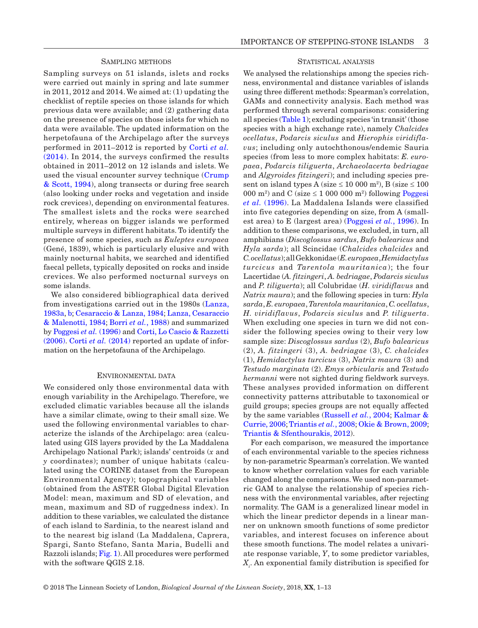## Sampling methodS

Sampling surveys on 51 islands, islets and rocks were carried out mainly in spring and late summer in 2011, 2012 and 2014. We aimed at:  $(1)$  updating the checklist of reptile species on those islands for which previous data were available; and (2) gathering data on the presence of species on those islets for which no data were available. The updated information on the herpetofauna of the Archipelago after the surveys performed in 2011–2012 is reported by [Corti](#page-10-3) *et al.* [\(2014\)](#page-10-3). In 2014, the surveys confirmed the results obtained in 2011–2012 on 12 islands and islets. We used the visual encounter survey technique ([Crump](#page-11-11) [& Scott, 1994\)](#page-11-11), along transects or during free search (also looking under rocks and vegetation and inside rock crevices), depending on environmental features. The smallest islets and the rocks were searched entirely, whereas on bigger islands we performed multiple surveys in different habitats. To identify the presence of some species, such as *Euleptes europaea* (Gené, 1839), which is particularly elusive and with mainly nocturnal habits, we searched and identified faecal pellets, typically deposited on rocks and inside crevices. We also performed nocturnal surveys on some islands.

We also considered bibliographical data derived from investigations carried out in the 1980s ([Lanza,](#page-11-12) [1983a,](#page-11-12) [b;](#page-11-13) [Cesaraccio & Lanza, 1984;](#page-10-4) [Lanza, Cesaraccio](#page-11-14) [& Malenotti, 1984;](#page-11-14) Borri *et al.*[, 1988\)](#page-10-5) and summarized by [Poggesi](#page-11-15) *et al.* (1996) and [Corti, Lo Cascio & Razzetti](#page-11-16) [\(2006\)](#page-11-16). Corti *et al.* [\(2014\)](#page-10-3) reported an update of information on the herpetofauna of the Archipelago.

#### ENVIRONMENTAL DATA

We considered only those environmental data with enough variability in the Archipelago. Therefore, we excluded climatic variables because all the islands have a similar climate, owing to their small size. We used the following environmental variables to characterize the islands of the Archipelago: area (calculated using GIS layers provided by the La Maddalena Archipelago National Park); islands' centroids (*x* and *y* coordinates); number of unique habitats (calculated using the CORINE dataset from the European Environmental Agency); topographical variables (obtained from the ASTER Global Digital Elevation Model: mean, maximum and SD of elevation, and mean, maximum and SD of ruggedness index). In addition to these variables, we calculated the distance of each island to Sardinia, to the nearest island and to the nearest big island (La Maddalena, Caprera, Spargi, Santo Stefano, Santa Maria, Budelli and Razzoli islands; [Fig. 1\)](#page-3-0). All procedures were performed with the software QGIS 2.18.

#### STATISTICAL ANALYSIS

We analysed the relationships among the species richness, environmental and distance variables of islands using three different methods: Spearman's correlation, GAMs and connectivity analysis. Each method was performed through several comparisons: considering all species [\(Table 1\)](#page-1-0); excluding species 'in transit' (those species with a high exchange rate), namely *Chalcides ocellatus*, *Podarcis siculus* and *Hierophis viridiflavus*; including only autochthonous/endemic Sauria species (from less to more complex habitats: *E. europaea*, *Podarcis tiliguerta*, *Archaeolacerta bedriagae* and *Algyroides fitzingeri*); and including species present on island types A (size  $\leq 10000$  m<sup>2</sup>), B (size  $\leq 100$ 000 m<sup>2</sup>) and C (size  $\leq$  1 000 000 m<sup>2</sup>) following [Poggesi](#page-11-15) *et al.* [\(1996\)](#page-11-15). La Maddalena Islands were classified into five categories depending on size, from A (smallest area) to E (largest area) [\(Poggesi](#page-11-15) *et al.*, 1996). In addition to these comparisons, we excluded, in turn, all amphibians (*Discoglossus sardus*, *Bufo balearicus* and *Hyla sarda*); all Scincidae (*Chalcides chalcides* and *C. ocellatus*); all Gekkonidae (*E. europaea*, *Hemidactylus turcicus* and *Tarentola mauritanica*); the four Lacertidae (*A. fitzingeri*, *A. bedriagae*, *Podarcis siculus* and *P. tiliguerta*); all Colubridae (*H. viridiflavus* and *Natrix maura*); and the following species in turn: *Hyla sarda*, *E. europaea*, *Tarentola mauritanica*, *C. ocellatus*, *H. viridiflavus*, *Podarcis siculus* and *P. tiliguerta*. When excluding one species in turn we did not consider the following species owing to their very low sample size: *Discoglossus sardus* (2), *Bufo balearicus* (2), *A. fitzingeri* (3), *A. bedriagae* (3), *C. chalcides* (1), *Hemidactylus turcicus* (3), *Natrix maura* (3) and *Testudo marginata* (2). *Emys orbicularis* and *Testudo hermanni* were not sighted during fieldwork surveys. These analyses provided information on different connectivity patterns attributable to taxonomical or guild groups; species groups are not equally affected by the same variables [\(Russell](#page-11-1) *et al.*, 2004; [Kalmar &](#page-11-5) [Currie, 2006](#page-11-5); [Triantis](#page-11-6) *et al.*, 2008; [Okie & Brown, 2009](#page-11-2); [Triantis & Sfenthourakis, 2012\)](#page-11-3).

For each comparison, we measured the importance of each environmental variable to the species richness by non-parametric Spearman's correlation. We wanted to know whether correlation values for each variable changed along the comparisons.We used non-parametric GAM to analyse the relationship of species richness with the environmental variables, after rejecting normality. The GAM is a generalized linear model in which the linear predictor depends in a linear manner on unknown smooth functions of some predictor variables, and interest focuses on inference about these smooth functions. The model relates a univariate response variable, *Y*, to some predictor variables, *Xi* . An exponential family distribution is specified for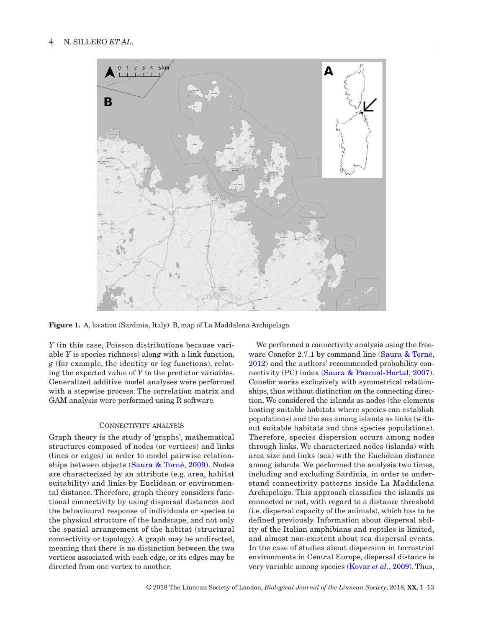

<span id="page-3-0"></span>**Figure 1.** A, location (Sardinia, Italy). B, map of La Maddalena Archipelago.

*Y* (in this case, Poisson distributions because variable *Y* is species richness) along with a link function, *g* (for example, the identity or log functions), relating the expected value of *Y* to the predictor variables. Generalized additive model analyses were performed with a stepwise process. The correlation matrix and GAM analysis were performed using R software.

#### CONNECTIVITY ANALYSIS

Graph theory is the study of 'graphs', mathematical structures composed of nodes (or vertices) and links (lines or edges) in order to model pairwise relationships between objects ([Saura & Torné, 2009](#page-11-17)). Nodes are characterized by an attribute (e.g. area, habitat suitability) and links by Euclidean or environmental distance. Therefore, graph theory considers functional connectivity by using dispersal distances and the behavioural response of individuals or species to the physical structure of the landscape, and not only the spatial arrangement of the habitat (structural connectivity or topology). A graph may be undirected, meaning that there is no distinction between the two vertices associated with each edge, or its edges may be directed from one vertex to another.

We performed a connectivity analysis using the freeware Conefor 2.7.1 by command line ([Saura & Torné,](#page-11-18) [2012\)](#page-11-18) and the authors' recommended probability connectivity (PC) index ([Saura & Pascual-Hortal, 2007\)](#page-11-19). Conefor works exclusively with symmetrical relationships, thus without distinction on the connecting direction. We considered the islands as nodes (the elements hosting suitable habitats where species can establish populations) and the sea among islands as links (without suitable habitats and thus species populations). Therefore, species dispersion occurs among nodes through links. We characterized nodes (islands) with area size and links (sea) with the Euclidean distance among islands. We performed the analysis two times, including and excluding Sardinia, in order to understand connectivity patterns inside La Maddalena Archipelago. This approach classifies the islands as connected or not, with regard to a distance threshold (i.e. dispersal capacity of the animals), which has to be defined previously. Information about dispersal ability of the Italian amphibians and reptiles is limited, and almost non-existent about sea dispersal events. In the case of studies about dispersion in terrestrial environments in Central Europe, dispersal distance is very variable among species [\(Kovar](#page-11-20) *et al.*, 2009). Thus,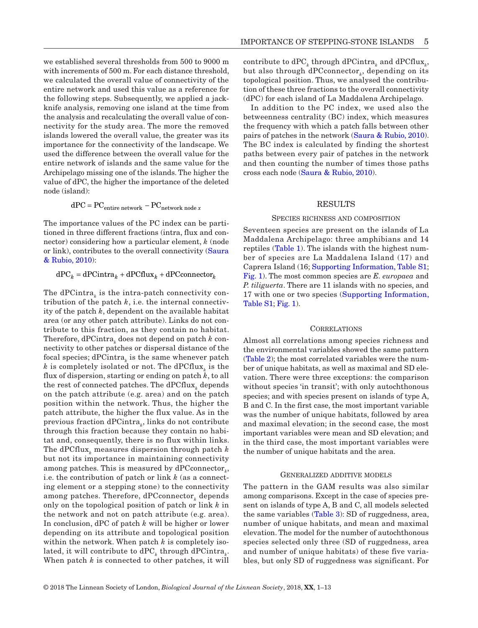we established several thresholds from 500 to 9000 m with increments of 500 m. For each distance threshold, we calculated the overall value of connectivity of the entire network and used this value as a reference for the following steps. Subsequently, we applied a jackknife analysis, removing one island at the time from the analysis and recalculating the overall value of connectivity for the study area. The more the removed islands lowered the overall value, the greater was its importance for the connectivity of the landscape. We used the difference between the overall value for the entire network of islands and the same value for the Archipelago missing one of the islands. The higher the value of dPC, the higher the importance of the deleted node (island):

$$
dPC = PC_{entire network} - PC_{network node x}
$$

The importance values of the PC index can be partitioned in three different fractions (intra, flux and connector) considering how a particular element, *k* (node or link), contributes to the overall connectivity [\(Saura](#page-11-21) [& Rubio, 2010\)](#page-11-21):

## $dPC_k = dPCintra_k + dPCflux_k + dPCconnector_k$

The d ${\rm PChstra}_k$  is the intra-patch connectivity contribution of the patch *k*, i.e. the internal connectivity of the patch *k*, dependent on the available habitat area (or any other patch attribute). Links do not contribute to this fraction, as they contain no habitat. Therefore,  $\mathrm{dPUntra}_{\scriptscriptstyle{k}}$  does not depend on patch  $k$  connectivity to other patches or dispersal distance of the focal species;  $\mathrm{dPUntra}_k$  is the same whenever patch  $k$  is completely isolated or not. The dPCflux $_{_{k}}$  is the flux of dispersion, starting or ending on patch *k*, to all the rest of connected patches. The  $\mathrm{dPCTlux}_{k}$  depends on the patch attribute (e.g. area) and on the patch position within the network. Thus, the higher the patch attribute, the higher the flux value. As in the previous fraction dPCintra<sub>k</sub>, links do not contribute through this fraction because they contain no habitat and, consequently, there is no flux within links. The dPCflux $_{k}$  measures dispersion through patch  $k$ but not its importance in maintaining connectivity among patches. This is measured by  $\mathrm{dPComnector}_k$ , i.e. the contribution of patch or link *k* (as a connecting element or a stepping stone) to the connectivity among patches. Therefore,  $\mathrm{dPCconnect}_{k}$  depends only on the topological position of patch or link *k* in the network and not on patch attribute (e.g. area). In conclusion, dPC of patch *k* will be higher or lower depending on its attribute and topological position within the network. When patch *k* is completely isolated, it will contribute to  $\mathrm{dPC}_k$  through  $\mathrm{dP C intra}_k$ . When patch *k* is connected to other patches, it will

contribute to  $\mathrm{dPC}_k$  through  $\mathrm{dP Cintra}_k$  and  $\mathrm{dP Cflux}_k$ , but also through  $\mathrm{dPComnector}_k,$  depending on its topological position. Thus, we analysed the contribution of these three fractions to the overall connectivity (dPC) for each island of La Maddalena Archipelago.

In addition to the PC index, we used also the betweenness centrality (BC) index, which measures the frequency with which a patch falls between other pairs of patches in the network ([Saura & Rubio, 2010\)](#page-11-21). The BC index is calculated by finding the shortest paths between every pair of patches in the network and then counting the number of times those paths cross each node [\(Saura & Rubio, 2010\)](#page-11-21).

#### **RESULTS**

#### SpecieS richneSS and compoSition

Seventeen species are present on the islands of La Maddalena Archipelago: three amphibians and 14 reptiles ([Table 1\)](#page-1-0). The islands with the highest number of species are La Maddalena Island (17) and Caprera Island (16; [Supporting Information,](http://academic.oup.com/biolinnean/article-lookup/doi/10.1093/biolinnean/bly033#supplementary-data) Table S1; [Fig. 1](#page-3-0)). The most common species are *E. europaea* and *P. tiliguerta*. There are 11 islands with no species, and 17 with one or two species [\(Supporting Information,](http://academic.oup.com/biolinnean/article-lookup/doi/10.1093/biolinnean/bly033#supplementary-data) [Table S1](http://academic.oup.com/biolinnean/article-lookup/doi/10.1093/biolinnean/bly033#supplementary-data); [Fig. 1\)](#page-3-0).

#### **CORRELATIONS**

Almost all correlations among species richness and the environmental variables showed the same pattern [\(Table 2](#page-5-0)); the most correlated variables were the number of unique habitats, as well as maximal and SD elevation. There were three exceptions: the comparison without species 'in transit'; with only autochthonous species; and with species present on islands of type A, B and C. In the first case, the most important variable was the number of unique habitats, followed by area and maximal elevation; in the second case, the most important variables were mean and SD elevation; and in the third case, the most important variables were the number of unique habitats and the area.

#### generalized additive modelS

The pattern in the GAM results was also similar among comparisons. Except in the case of species present on islands of type A, B and C, all models selected the same variables ([Table 3\)](#page-6-0): SD of ruggedness, area, number of unique habitats, and mean and maximal elevation. The model for the number of autochthonous species selected only three (SD of ruggedness, area and number of unique habitats) of these five variables, but only SD of ruggedness was significant. For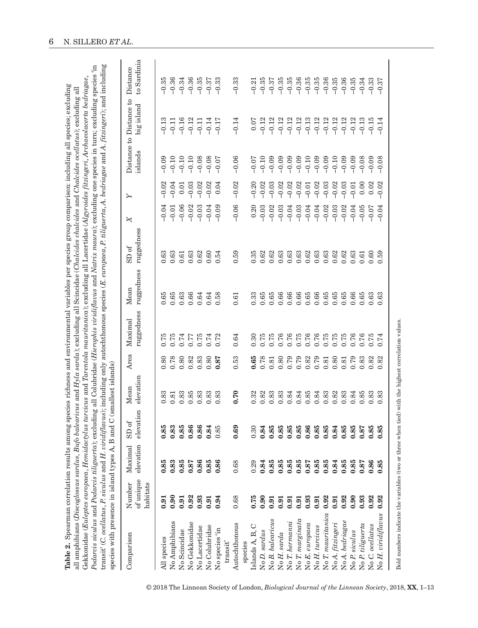<span id="page-5-0"></span>

| Comparison         | of unique<br>Number<br>habitats | elevation<br>Maximal | $\mathbf{a}$<br>elevatio<br>SD of | elevation<br>Mean | Area | ruggedness<br>Maximal | ruggedness<br>Mean | ruggedness<br>SD of | X       | ≻       | islands | Distance to Distance to<br>big island | to Sardinia<br>Distance |
|--------------------|---------------------------------|----------------------|-----------------------------------|-------------------|------|-----------------------|--------------------|---------------------|---------|---------|---------|---------------------------------------|-------------------------|
| All species        | 0.91                            | 0.85                 | 0.85                              | 0.83              | 0.80 | 0.75                  | 0.65               | 0.63                | $-0.04$ | $-0.02$ | $-0.09$ | $-0.13$                               | $-0.35$                 |
| No Amphibians      | 0.90                            | 0.83                 | 0.83                              | 0.81              | 0.78 | 0.75                  | 0.65               | 0.63                | $-0.01$ | $-0.04$ | $-0.10$ | $-0.11$                               | $-0.36$                 |
| No Scincidae       | 0.91                            | 0.85                 | 0.85                              | 0.83              | 0.80 | 0.74                  | 0.63               | 0.61                | $-0.06$ | 0.01    | $-0.10$ | $-0.16$                               | $-0.34$                 |
| No Gekkonidae      | 0.92                            | 0.87                 | 0.86                              | 0.85              | 0.82 | 0.77                  | 0.66               | 0.63                | $-0.02$ | $-0.03$ | $-0.10$ | $-0.12$                               | $-0.36$                 |
| No Lacertidae      | 0.93                            | 0.86                 | 0.86                              | 0.83              | 0.83 | 0.75                  | 0.64               | 0.62                | $-0.03$ | $-0.02$ | $-0.08$ | $-0.11$                               | $-0.35$                 |
| No Colubridae      | 0.91                            | 0.85                 | 0.84                              | 0.83              | 0.80 | 0.74                  | 0.64               | 0.60                | $-0.04$ | $-0.02$ | $-0.08$ | $-0.14$                               | $-0.37$                 |
| No species 'in     | 0.94                            | 0.86                 | 0.85                              | 0.83              | 0.87 | 0.72                  | 0.58               | 0.54                | $-0.09$ | 0.04    | $-0.07$ | $-0.17$                               | $-0.33$                 |
| transit'           |                                 |                      |                                   |                   |      |                       |                    |                     |         |         |         |                                       |                         |
| Autochthonous      | 0.68                            | 0.68                 | 0.69                              | 0.70              | 0.53 | 0.64                  | 0.61               | 0.59                | $-0.06$ | $-0.02$ | $-0.06$ | $-0.14$                               | $-0.33$                 |
| species            |                                 |                      |                                   |                   |      |                       |                    |                     |         |         |         |                                       |                         |
| Islands A, B, C    | 0.75                            | 0.29                 | 0.30                              | 0.32              | 0.65 | 0.30                  | 0.33               | 0.35                | 0.20    | $-0.20$ | $-0.07$ | 0.07                                  | $-0.21$                 |
| No D. sardus       | 0.90                            | 0.84                 | 0.84                              | 0.82              | 0.78 | 0.75                  | 0.65               | 0.62                | $-0.03$ | $-0.02$ | $-0.10$ | $-0.12$                               | $-0.35$                 |
| No B. balearicus   | 0.91                            | 0.85                 | 0.85                              | 0.83              | 0.81 | 0.75                  | 0.65               | 0.62                | $-0.02$ | $-0.03$ | $-0.09$ | $-0.12$                               | $-0.37$                 |
| No H. sarda        | 0.91                            | 0.85                 | 0.85                              | 0.83              | 0.80 | 0.76                  | 0.66               | 0.63                | $-0.03$ | $-0.02$ | $-0.09$ | $-0.12$                               | $-0.35$                 |
| No T. hermanni     | 0.91                            | 0.85                 | 0.85                              | 0.84              | 0.79 | 0.76                  | 0.66               | 0.63                | $-0.04$ | $-0.02$ | $-0.09$ | $-0.12$                               | $-0.35$                 |
| No T. marginata    | 0.91                            | 0.85                 | 0.85                              | 0.84              | 0.79 | 0.75                  | 0.66               | 0.63                | $-0.03$ | $-0.02$ | $-0.09$ | $-0.12$                               | $-0.36$                 |
| No E. europaea     | 0.93                            | 0.87                 | 0.86                              | 0.85              | 0.82 | 0.76                  | 0.65               | 0.62                | $-0.04$ | $-0.01$ | $-0.10$ | $-0.13$                               | $-0.35$                 |
| No H. turcicus     | 0.91                            | 0.85                 | 0.85                              | 0.84              | 0.79 | 0.76                  | 0.66               | 0.63                | $-0.04$ | $-0.02$ | $-0.09$ | $-0.12$                               | $-0.35$                 |
| No T. mauritanica  | 0.92                            | 0.85                 | 0.85                              | 0.83              | 0.81 | 0.75                  | $0.65\,$           | 0.63                | $-0.02$ | $-0.03$ | $-0.09$ | $-0.12$                               | $-0.36$                 |
| No A. fitzingeri   | 0.91                            | 0.84                 | 0.84                              | 0.82              | 0.80 | 0.75                  | 0.65               | 0.62                | $-0.03$ | $-0.02$ | $-0.10$ | $-0.12$                               | $-0.35$                 |
| No A. bedriagae    | 0.92                            | 0.85                 | 0.85                              | 0.83              | 0.81 | 0.75                  | 0.65               | 0.62                | $-0.02$ | $-0.03$ | $-0.09$ | $-0.12$                               | $-0.36$                 |
| No P. siculus      | 0.90                            | 0.85                 | 0.85                              | 0.84              | 0.79 | 0.76                  | 0.66               | 0.63                | $-0.04$ | $-0.01$ | $-0.09$ | $-0.12$                               | $-0.35$                 |
| No P. tiliguerta   | 0.93                            | 0.87                 | 0.87                              | 0.85              | 0.83 | 0.76                  | 0.65               | 0.61                | $-0.05$ | 0.00    | $-0.08$ | $-0.13$                               | $-0.34$                 |
| No C. ocellatus    | 0.92                            | 0.86                 | 0.85                              | 0.83              | 0.82 | 0.75                  | 0.63               | 0.60                | $-0.07$ | 0.02    | $-0.09$ | $-0.15$                               | $-0.33$                 |
| No H. viridiflavus | 0.92                            | 0.85                 | 0.85                              | 0.83              | 0.82 | 0.74                  | 0.63               | 0.59                | $-0.04$ | 0.02    | $-0.08$ | $-0.14$                               | $-0.37$                 |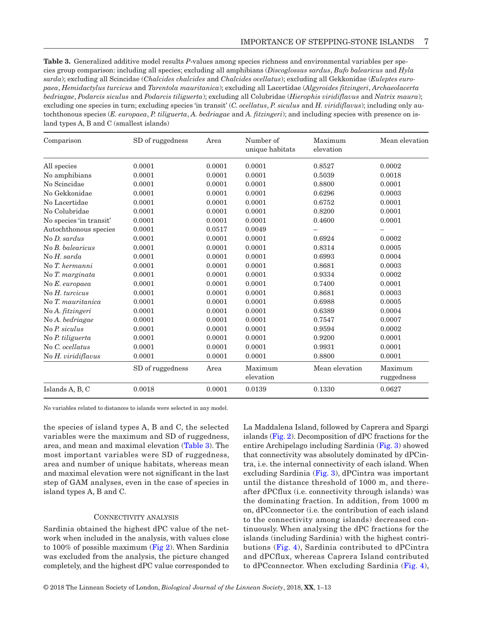<span id="page-6-0"></span>**Table 3.** Generalized additive model results *P*-values among species richness and environmental variables per species group comparison: including all species; excluding all amphibians (*Discoglossus sardus*, *Bufo balearicus* and *Hyla sarda*); excluding all Scincidae (*Chalcides chalcides* and *Chalcides ocellatus*); excluding all Gekkonidae (*Euleptes europaea*, *Hemidactylus turcicus* and *Tarentola mauritanica*); excluding all Lacertidae (*Algyroides fitzingeri*, *Archaeolacerta bedriagae*, *Podarcis siculus* and *Podarcis tiliguerta*); excluding all Colubridae (*Hierophis viridiflavus* and *Natrix maura*); excluding one species in turn; excluding species 'in transit' (*C. ocellatus*, *P. siculus* and *H. viridiflavus*); including only autochthonous species (*E. europaea*, *P. tiliguerta*, *A. bedriagae* and *A. fitzingeri*); and including species with presence on island types A, B and C (smallest islands)

| Comparison              | SD of ruggedness | Area   | Number of<br>unique habitats | Maximum<br>elevation | Mean elevation        |
|-------------------------|------------------|--------|------------------------------|----------------------|-----------------------|
| All species             | 0.0001           | 0.0001 | 0.0001                       | 0.8527               | 0.0002                |
| No amphibians           | 0.0001           | 0.0001 | 0.0001                       | 0.5039               | 0.0018                |
| No Scincidae            | 0.0001           | 0.0001 | 0.0001                       | 0.8800               | 0.0001                |
| No Gekkonidae           | 0.0001           | 0.0001 | 0.0001                       | 0.6296               | 0.0003                |
| No Lacertidae           | 0.0001           | 0.0001 | 0.0001                       | 0.6752               | 0.0001                |
| No Colubridae           | 0.0001           | 0.0001 | 0.0001                       | 0.8200               | 0.0001                |
| No species 'in transit' | 0.0001           | 0.0001 | 0.0001                       | 0.4600               | 0.0001                |
| Autochthonous species   | 0.0001           | 0.0517 | 0.0049                       |                      |                       |
| No D. sardus            | 0.0001           | 0.0001 | 0.0001                       | 0.6924               | 0.0002                |
| No B. balearicus        | 0.0001           | 0.0001 | 0.0001                       | 0.8314               | 0.0005                |
| No $H.$ sarda           | 0.0001           | 0.0001 | 0.0001                       | 0.6993               | 0.0004                |
| No T. hermanni          | 0.0001           | 0.0001 | 0.0001                       | 0.8681               | 0.0003                |
| No T. marginata         | 0.0001           | 0.0001 | 0.0001                       | 0.9334               | 0.0002                |
| No E. europaea          | 0.0001           | 0.0001 | 0.0001                       | 0.7400               | 0.0001                |
| No H. turcicus          | 0.0001           | 0.0001 | 0.0001                       | 0.8681               | 0.0003                |
| No T. mauritanica       | 0.0001           | 0.0001 | 0.0001                       | 0.6988               | 0.0005                |
| No A. fitzingeri        | 0.0001           | 0.0001 | 0.0001                       | 0.6389               | 0.0004                |
| No A. bedriagae         | 0.0001           | 0.0001 | 0.0001                       | 0.7547               | 0.0007                |
| No P. siculus           | 0.0001           | 0.0001 | 0.0001                       | 0.9594               | 0.0002                |
| No P. tiliguerta        | 0.0001           | 0.0001 | 0.0001                       | 0.9200               | 0.0001                |
| No C. ocellatus         | 0.0001           | 0.0001 | 0.0001                       | 0.9931               | 0.0001                |
| No H. viridiflavus      | 0.0001           | 0.0001 | 0.0001                       | 0.8800               | 0.0001                |
|                         | SD of ruggedness | Area   | Maximum<br>elevation         | Mean elevation       | Maximum<br>ruggedness |
| Islands A, B, C         | 0.0018           | 0.0001 | 0.0139                       | 0.1330               | 0.0627                |

No variables related to distances to islands were selected in any model.

the species of island types A, B and C, the selected variables were the maximum and SD of ruggedness, area, and mean and maximal elevation [\(Table 3\)](#page-6-0). The most important variables were SD of ruggedness, area and number of unique habitats, whereas mean and maximal elevation were not significant in the last step of GAM analyses, even in the case of species in island types A, B and C.

## CONNECTIVITY ANALYSIS

Sardinia obtained the highest dPC value of the network when included in the analysis, with values close to 100% of possible maximum ([Fig 2\)](#page-7-0). When Sardinia was excluded from the analysis, the picture changed completely, and the highest dPC value corresponded to La Maddalena Island, followed by Caprera and Spargi islands [\(Fig. 2\)](#page-7-0). Decomposition of dPC fractions for the entire Archipelago including Sardinia [\(Fig. 3](#page-8-0)) showed that connectivity was absolutely dominated by dPCintra, i.e. the internal connectivity of each island. When excluding Sardinia ([Fig. 3\)](#page-8-0), dPCintra was important until the distance threshold of 1000 m, and thereafter dPCflux (i.e. connectivity through islands) was the dominating fraction. In addition, from 1000 m on, dPCconnector (i.e. the contribution of each island to the connectivity among islands) decreased continuously. When analysing the dPC fractions for the islands (including Sardinia) with the highest contributions [\(Fig. 4\)](#page-9-0), Sardinia contributed to dPCintra and dPCflux, whereas Caprera Island contributed to dPCconnector. When excluding Sardinia [\(Fig. 4\)](#page-9-0),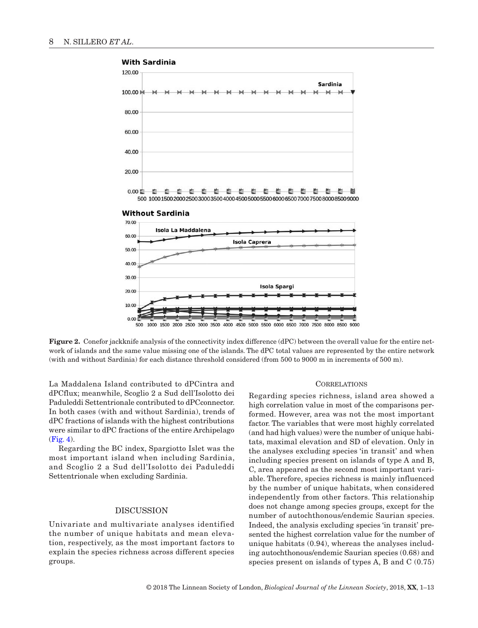

**Figure 2.** Conefor jackknife analysis of the connectivity index difference (dPC) between the overall value for the entire network of islands and the same value missing one of the islands. The dPC total values are represented by the entire network (with and without Sardinia) for each distance threshold considered (from 500 to 9000 m in increments of 500 m).

La Maddalena Island contributed to dPCintra and dPCflux; meanwhile, Scoglio 2 a Sud dell'Isolotto dei Paduleddi Settentrionale contributed to dPCconnector. In both cases (with and without Sardinia), trends of dPC fractions of islands with the highest contributions were similar to dPC fractions of the entire Archipelago [\(Fig. 4\)](#page-9-0).

Regarding the BC index, Spargiotto Islet was the most important island when including Sardinia, and Scoglio 2 a Sud dell'Isolotto dei Paduleddi Settentrionale when excluding Sardinia.

#### DISCUSSION

Univariate and multivariate analyses identified the number of unique habitats and mean elevation, respectively, as the most important factors to explain the species richness across different species groups.

#### **CORRELATIONS**

<span id="page-7-0"></span>Regarding species richness, island area showed a high correlation value in most of the comparisons performed. However, area was not the most important factor. The variables that were most highly correlated (and had high values) were the number of unique habitats, maximal elevation and SD of elevation. Only in the analyses excluding species 'in transit' and when including species present on islands of type A and B, C, area appeared as the second most important variable. Therefore, species richness is mainly influenced by the number of unique habitats, when considered independently from other factors. This relationship does not change among species groups, except for the number of autochthonous/endemic Saurian species. Indeed, the analysis excluding species 'in transit' presented the highest correlation value for the number of unique habitats (0.94), whereas the analyses including autochthonous/endemic Saurian species (0.68) and species present on islands of types A, B and C (0.75)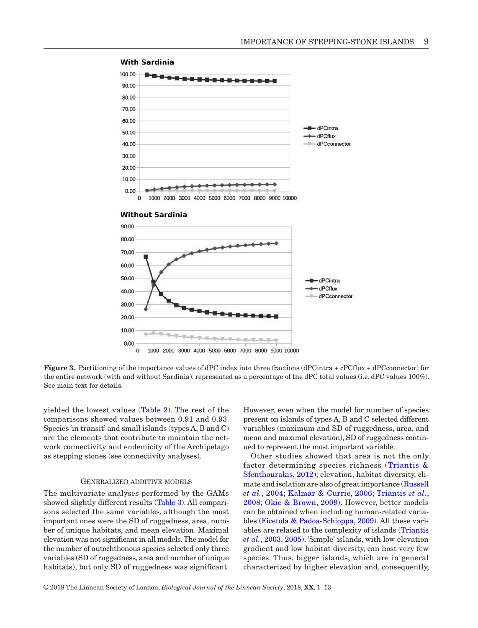

**Figure 3.** Partitioning of the importance values of dPC index into three fractions (dPCintra + cPCflux + dPCconnector) for the entire network (with and without Sardinia), represented as a percentage of the dPC total values (i.e. dPC values 100%). See main text for details.

yielded the lowest values ([Table 2](#page-5-0)). The rest of the comparisons showed values between 0.91 and 0.93. Species 'in transit' and small islands (types A, B and C) are the elements that contribute to maintain the network connectivity and endemicity of the Archipelago as stepping stones (see connectivity analyses).

### generalized additive modelS

The multivariate analyses performed by the GAMs showed slightly different results [\(Table 3](#page-6-0)). All comparisons selected the same variables, although the most important ones were the SD of ruggedness, area, number of unique habitats, and mean elevation. Maximal elevation was not significant in all models.The model for the number of autochthonous species selected only three variables (SD of ruggedness, area and number of unique habitats), but only SD of ruggedness was significant. <span id="page-8-0"></span>However, even when the model for number of species present on islands of types A, B and C selected different variables (maximum and SD of ruggedness, area, and mean and maximal elevation), SD of ruggedness continued to represent the most important variable.

Other studies showed that area is not the only factor determining species richness ([Triantis &](#page-11-3) [Sfenthourakis, 2012\)](#page-11-3); elevation, habitat diversity, climate and isolation are also of great importance ([Russell](#page-11-1) *et al.*[, 2004](#page-11-1); [Kalmar & Currie, 2006;](#page-11-5) [Triantis](#page-11-6) *et al.*, [2008;](#page-11-6) [Okie & Brown, 2009\)](#page-11-2). However, better models can be obtained when including human-related variables ([Ficetola & Padoa-Schioppa, 2009](#page-11-22)). All these variables are related to the complexity of islands [\(Triantis](#page-11-23) *et al.*[, 2003](#page-11-23), [2005\)](#page-11-24). 'Simple' islands, with low elevation gradient and low habitat diversity, can host very few species. Thus, bigger islands, which are in general characterized by higher elevation and, consequently,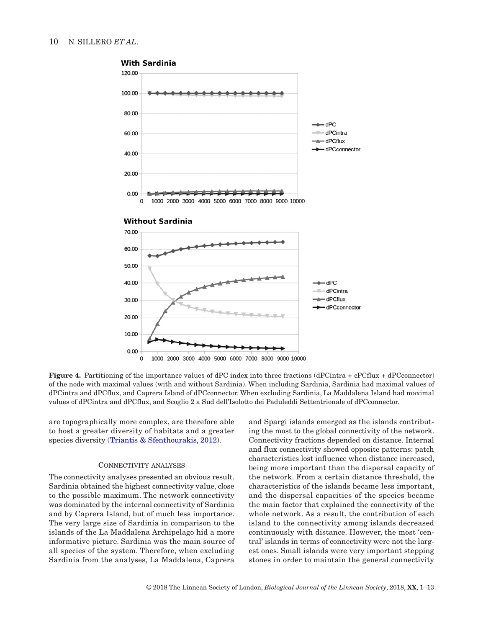

**With Sardinia** 

**Figure 4.** Partitioning of the importance values of dPC index into three fractions (dPCintra + cPCflux + dPCconnector) of the node with maximal values (with and without Sardinia). When including Sardinia, Sardinia had maximal values of dPCintra and dPCflux, and Caprera Island of dPCconnector. When excluding Sardinia, La Maddalena Island had maximal values of dPCintra and dPCflux, and Scoglio 2 a Sud dell'Isolotto dei Paduleddi Settentrionale of dPCconnector.

are topographically more complex, are therefore able to host a greater diversity of habitats and a greater species diversity [\(Triantis & Sfenthourakis, 2012](#page-11-3)).

#### CONNECTIVITY ANALYSES

The connectivity analyses presented an obvious result. Sardinia obtained the highest connectivity value, close to the possible maximum. The network connectivity was dominated by the internal connectivity of Sardinia and by Caprera Island, but of much less importance. The very large size of Sardinia in comparison to the islands of the La Maddalena Archipelago hid a more informative picture. Sardinia was the main source of all species of the system. Therefore, when excluding Sardinia from the analyses, La Maddalena, Caprera <span id="page-9-0"></span>and Spargi islands emerged as the islands contributing the most to the global connectivity of the network. Connectivity fractions depended on distance. Internal and flux connectivity showed opposite patterns: patch characteristics lost influence when distance increased, being more important than the dispersal capacity of the network. From a certain distance threshold, the characteristics of the islands became less important, and the dispersal capacities of the species became the main factor that explained the connectivity of the whole network. As a result, the contribution of each island to the connectivity among islands decreased continuously with distance. However, the most 'central' islands in terms of connectivity were not the largest ones. Small islands were very important stepping stones in order to maintain the general connectivity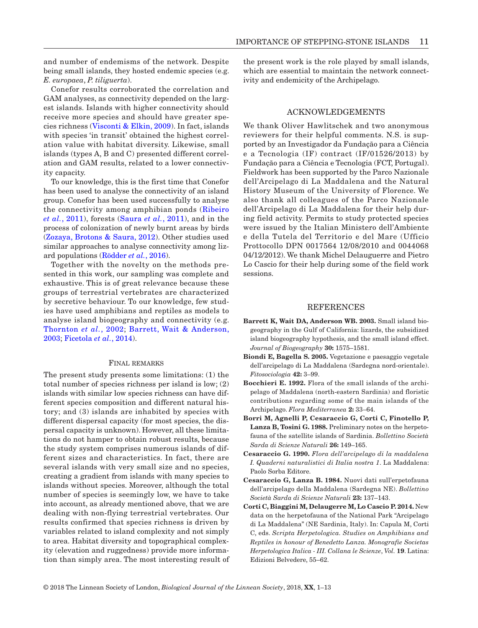and number of endemisms of the network. Despite being small islands, they hosted endemic species (e.g. *E. europaea*, *P. tiliguerta*).

Conefor results corroborated the correlation and GAM analyses, as connectivity depended on the largest islands. Islands with higher connectivity should receive more species and should have greater species richness ([Visconti & Elkin, 2009](#page-11-25)). In fact, islands with species 'in transit' obtained the highest correlation value with habitat diversity. Likewise, small islands (types A, B and C) presented different correlation and GAM results, related to a lower connectivity capacity.

To our knowledge, this is the first time that Conefor has been used to analyse the connectivity of an island group. Conefor has been used successfully to analyse the connectivity among amphibian ponds ([Ribeiro](#page-11-26) *et al.*[, 2011](#page-11-26)), forests ([Saura](#page-11-27) *et al.*, 2011), and in the process of colonization of newly burnt areas by birds [\(Zozaya, Brotons & Saura, 2012\)](#page-11-28). Other studies used similar approaches to analyse connectivity among lizard populations [\(Rödder](#page-11-29) *et al.*, 2016).

Together with the novelty on the methods presented in this work, our sampling was complete and exhaustive. This is of great relevance because these groups of terrestrial vertebrates are characterized by secretive behaviour. To our knowledge, few studies have used amphibians and reptiles as models to analyse island biogeography and connectivity (e.g. [Thornton](#page-11-30) *et al.*, 2002; [Barrett, Wait & Anderson,](#page-10-6) [2003](#page-10-6); [Ficetola](#page-11-31) *et al.*, 2014).

#### Final remarkS

The present study presents some limitations: (1) the total number of species richness per island is low; (2) islands with similar low species richness can have different species composition and different natural history; and (3) islands are inhabited by species with different dispersal capacity (for most species, the dispersal capacity is unknown). However, all these limitations do not hamper to obtain robust results, because the study system comprises numerous islands of different sizes and characteristics. In fact, there are several islands with very small size and no species, creating a gradient from islands with many species to islands without species. Moreover, although the total number of species is seemingly low, we have to take into account, as already mentioned above, that we are dealing with non-flying terrestrial vertebrates. Our results confirmed that species richness is driven by variables related to island complexity and not simply to area. Habitat diversity and topographical complexity (elevation and ruggedness) provide more information than simply area. The most interesting result of the present work is the role played by small islands, which are essential to maintain the network connectivity and endemicity of the Archipelago.

## ACKNOWLEDGEMENTS

We thank Oliver Hawlitschek and two anonymous reviewers for their helpful comments. N.S. is supported by an Investigador da Fundação para a Ciência e a Tecnologia (IF) contract (IF/01526/2013) by Fundação para a Ciência e Tecnologia (FCT, Portugal). Fieldwork has been supported by the Parco Nazionale dell'Arcipelago di La Maddalena and the Natural History Museum of the University of Florence. We also thank all colleagues of the Parco Nazionale dell'Arcipelago di La Maddalena for their help during field activity. Permits to study protected species were issued by the Italian Ministero dell'Ambiente e della Tutela del Territorio e del Mare (Ufficio Prottocollo DPN 0017564 12/08/2010 and 0044068 04/12/2012). We thank Michel Delauguerre and Pietro Lo Cascio for their help during some of the field work sessions.

## **REFERENCES**

- <span id="page-10-6"></span>**Barrett K, Wait DA, Anderson WB. 2003.** Small island biogeography in the Gulf of California: lizards, the subsidized island biogeography hypothesis, and the small island effect. *Journal of Biogeography* **30:** 1575–1581.
- <span id="page-10-2"></span>**Biondi E, Bagella S. 2005.** Vegetazione e paesaggio vegetale dell'arcipelago di La Maddalena (Sardegna nord-orientale). *Fitosociologia* **42:** 3–99.
- <span id="page-10-1"></span>**Bocchieri E. 1992.** Flora of the small islands of the archipelago of Maddalena (north-eastern Sardinia) and floristic contributions regarding some of the main islands of the Archipelago. *Flora Mediterranea* **2:** 33–64.
- <span id="page-10-5"></span>**Borri M, Agnelli P, Cesaraccio G, Corti C, Finotello P, Lanza B, Tosini G. 1988.** Preliminary notes on the herpetofauna of the satellite islands of Sardinia. *Bollettino Società Sarda di Scienze Naturali* **26:** 149–165.
- <span id="page-10-0"></span>**Cesaraccio G. 1990.** *Flora dell'arcipelago di la maddalena I. Quaderni naturalistici di Italia nostra 1*. La Maddalena: Paolo Sorba Editore.
- <span id="page-10-4"></span>**Cesaraccio G, Lanza B. 1984.** Nuovi dati sull'erpetofauna dell'arcipelago della Maddalena (Sardegna NE). *Bollettino Società Sarda di Scienze Naturali* **23:** 137–143.
- <span id="page-10-3"></span>**Corti C, Biaggini M, Delaugerre M, Lo Cascio P. 2014.** New data on the herpetofauna of the National Park "Arcipelago di La Maddalena" (NE Sardinia, Italy). In: Capula M, Corti C, eds. *Scripta Herpetologica. Studies on Amphibians and Reptiles in honour of Benedetto Lanza. Monografie Societas Herpetologica Italica - III. Collana le Scienze*, *Vol.* **19**. Latina: Edizioni Belvedere, 55–62.